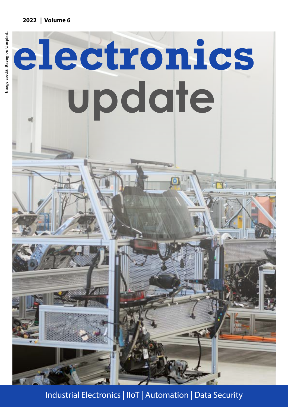#### **2022 | Volume 6**



Industrial Electronics | IIoT | Automation | Data Security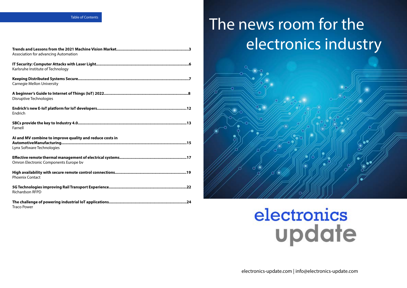#### Table of Contents

| Association for advancing Automation                                                   |
|----------------------------------------------------------------------------------------|
| Karlsruhe Institute of Technology                                                      |
| <b>Carnegie Mellon University</b>                                                      |
| <b>Disruptive Technologies</b>                                                         |
| Endrich                                                                                |
| Farnell                                                                                |
| Al and MV combine to improve quality and reduce costs in<br>Lynx Software Technologies |
| Omron Electronic Components Europe by                                                  |
| <b>Phoenix Contact</b>                                                                 |
| <b>Richardson RFPD</b>                                                                 |
| <b>Traco Power</b>                                                                     |

# The news room for the  [electronics industry](http://electronics-update.com)



# electronics update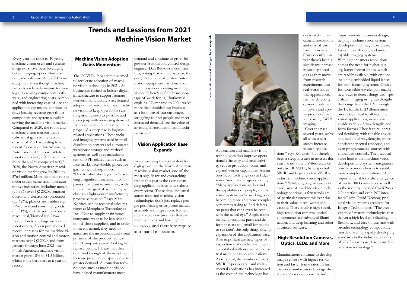#### **Trends and Lessions from 2021 Machine Vision Market**

Every year for close to 40 years, machine vision users and systems integrators have been leveraging better imaging, optics, illumination, and software. And 2021 is no exception. Even though machine vision is a relatively mature technology, decreasing component, software, and engineering costs, combined with increasing ease of use and application expansion, continue to drive healthy revenue growth for component and system suppliers serving the machine vision market. Compared to 2020, the robot and machine vision markets made substantial gains in the second quarter of 2021 according to a recent Association for Advancing Automation (A3) report. While robot orders in Q2 2021 were up more than 67% compared to Q2 2020, the North American machine vision market grew by 26% to \$764 million. More than half of the robot orders came from non-automotive industries, including metals (up 99% over Q2 2020), semiconductor and electronics/photonics (up 62%), plastics and rubber (up 51%), food and consumer goods (up 51%), and life sciences/pharmaceutical/biomed (up 21%). In addition to the large increase in robot orders, A3's report showed record increases for the machine vision and motion control and motor markets over Q2 2020, and from January through June 2021, the North American machine vision market grew 18% to \$1.5 billion, which is the best start to a year on record.

#### **Machine Vision Adoption Gains Momentum**

The COVID-19 pandemic seemed to accelerate adoption of machine vision technology in 2021. As businesses rushed to bolster digital infrastructure to support remote workers, manufacturers accelerated adoption of automation and machine vision to keep operations running as efficiently as possible and to keep up with increasing demand. Increased online purchase volumes propelled a steep rise in logisticsrelated applications. These included imaging systems used in retail distribution centers and automated warehouse storage and retrieval systems, as well as at manufacturers of PPE-related items such as face masks, face shields, protective garments, and respirators.

"Due to labor shortages, we're seeing a significant increase in companies that want to automate, with the ultimate goal of something as close to a lights-out manufacturing process as possible," says Mark Kolvites, senior technical sales manager at Metaphase Technologies Inc. "Due to supply chain issues, companies want to be less reliant on off-shore suppliers, and in order to meet demand, they need to automate the inspections and visual portions of the product fabrication."Companies aren't looking to replace people. It's just that they can't find enough of them as they increase production capacity due to greater demand. Automation technologies such as machine vision have helped manufacturers meet

demand and continue to grow. Edgewater Automation control design engineer Dan Rutkowski confirms this, noting that in the past year, the designer/builder of custom automation equipment has done a lot more jobs incorporating machine vision. "There's definitely no shortage of work for us," Rutkowski explains. "Compared to 2020, we've more than doubled our business, as a lot more of our customers, struggling to find people and meet increased demand, see the value of investing in automation and machine vision."

#### **Vision Application Base Expands**

Accompanying the recent doubledigit growth in the North American machine vision market, one of the most significant and overarching trends this year is the ever-expanding application base in just about every sector. These days, industrial automation and machine vision technologies don't just replace people performing error-prone manual assembly and inspections. Rather, they enable new products that are more complex and have tighter tolerances, and therefore require automated inspection.

Image credit: Possessed Photography on unsplash **Image credit: Possessed Photography on unsplash**



Automation and machine vision technologies also improve operational efficiency and productivity, reduce production costs, and expand worker capabilities. Austin Storm, controls engineer at Edgewater Automation, agrees, noting, "Many applications are beyond the capabilities of people, and the vision systems we're working on are becoming more and more complex, sometimes trying to find defects on parts that can't even be seen with the naked eye." Applications involving complex parts and defects that are too small for people to see aren't the only things driving expansion of the application base. Also important are new types of inspection that can be readily accomplished with nonvisible industrial machine vision applications. As is typical, the number of viable SWIR, hyperspectral, and multispectral applications has increased as the cost of the technology has

decreased and as camera resolutions and ease of use have improved. Consequently, this year there's been a significant increase in such applications as they move from research experiments into real-world industrial applications, such as detecting opaque container fill levels and epoxy presence/absence using SWIR imaging.

"Over the past several years, we've all witnessed a steady increase in such applications," says Kolvites, "but there's been a steep increase in interest this year for not only UV-fluorescence but also IR, SWIR, hyperspectral SWIR, and hyperspectral VNIR in industrial machine vision applications." While ongoing advances in every area of machine vision technology continue, a few trends are of particular interest this year due to their value in real-world applications. These involve high-speed, high-resolution cameras, optical components and advanced illumination, and deep learning and other advanced software.

#### **High-Resolution Cameras, Optics, LEDs, and More**

Manufacturers continue to develop image sensors with higher resolution and faster frame rates. In turn, camera manufacturers leverage the latest sensor developments and

improvements in camera design, helping machine vision system developers and integrators create faster, more flexible, and more capable imaging systems. With higher camera resolutions comes the need for higher-quality, larger-format optics, which are readily available, with options including embedded liquid lenses for auto-focusing systems. Optics for nonvisible wavelengths enable new ways to detect things with specialized imaging using wavelengths that range from the UV through the IR bands. LED illumination products, critical to all machine vision applications, now come in a wide variety of wavelengths and form factors. They feature increased flexibility, with tunable angles and additional wavelengths, more consistent spectral response, and even programmable sources with embedded controls. The practical value here is that machine vision developers and systems integrators now have more choices to enable more complex applications. "An important enabler is the emergence of up to 100 G interfaces as well as the recently updated CoaXPress 2.0 interface and even PCI interfaces," says David Dechow, principal vision systems architect for Integro Technologies. "The great variety of mature technologies that deliver a high level of reliability, flexibility, and ease of use, and with broader technology compatibility mostly driven by rapidly developing standards in the industry, benefits of all of us who work with machine vision technology."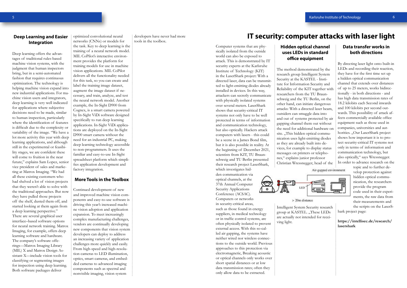#### **Deep Learning and Easier Integration**

Deep learning offers the advantages of traditional rules-based machine vision systems, with the judgment that human inspectors bring, but in a semi-automated fashion that requires continuous optimization. The technology is helping machine vision expand into new industrial applications. For machine vision users and integrators, deep learning is very well indicated for applications where subjective decisions need to be made, similar to human inspection, particularly where the identification of features is difficult due to the complexity or variability of the image. "We have a lot more activity this year with deep learning applications, and although still in the experimental or feasibility stages, we are confident these will come to fruition in the near future," explains Sam Lopez, senior vice president of sales and marketing at Matrox Imaging. "We had all these existing customers who had shelved a lot of vision projects that they weren't able to solve with the traditional approaches. But now they have pulled those projects off the shelf, dusted them off, and started looking at them again from a deep learning perspective." There are several graphical user interface–based software options for neural network training. Matrox Imaging, for example, offers deep learning software and hardware. The company's software offerings—Matrox Imaging Library (MIL) X and Matrox Design Assistant X—include vision tools for classifying or segmenting images for inspection using deep learning. Both software packages deliver

optimized convolutional neural networks (CNNs) or models for

the task. Key to deep learning is the training of a neural network model. MIL CoPilot's interactive environment provides the platform for training models for use in machine vision applications. MIL CoPilot delivers all the functionality needed for this task, so you can create and label the training image dataset, augment the image dataset if necessary, and train, analyze, and test the neural network model. Another example, the In-Sight D900 from Cognex, is a smart camera powered by In-Sight ViDi software designed specifically to run deep learning applications. In-Sight ViDi applications are deployed on the In-Sight D900 smart camera without the need for an industrial PC, making deep learning technology accessible to non-programmers. It uses the familiar and easy-to-use In-Sight spreadsheet platform which simplifies application development and factory integration.

#### **More Tools in the Toolbox**

Continued development of new and improved machine vision components and easy-to-use software is driving this year's increased machine vision adoption and application expansion. To meet increasingly complex manufacturing challenges, vendors are continually developing new components that vision system developers can deploy to address an increasing variety of application challenges more quickly and easily. From high-speed and high-resolution cameras to LED illumination, optics, smart cameras, and embedded cameras to advanced imaging components such as spectral and nonvisible imaging, vision system

developers have never had more tools in the toolbox.

#### **IT security: computer attacks with laser light**

Computer systems that are physically isolated from the outside world can also be exposed to attack. This is demonstrated by IT security experts at the Karlsruhe Institute of Technology (KIT) in the LaserShark project: With a directed laser, data can be transmitted to light-emitting diodes already installed in devices. In this way, attackers can secretly communicate with physically isolated systems over several meters. LaserShark shows that security-critical IT systems not only have to be well protected in terms of information and communication technology, but also optically. Hackers attack computers with lasers - this could be a scene in a James Bond film, but it is also possible in reality. At the beginning of December 2021, scientists from KIT, TU Braunschweig and TU Berlin presented their research project LaserShark, which investigates hidden communication via optical channels, at the 37th Annual Computer Security Applications Conference (ACSAC). Computers or networks in security-critical areas,

such as those found in energy suppliers, in medical technology or in traffic control systems, are often physically isolated to prevent external access. With this so-called air gapping, the systems have neither wired nor wireless connections to the outside world. Previous approaches to this protection via electromagnetic, Breaking acoustic or optical channels only works over short spatial distances or at low data transmission rates; often they only allow data to be extracted.

#### **Hidden optical channel uses LEDs in standard office equipment**

The method demonstrated by the research group Intelligent System Security at the KASTEL - Institute for Information Security and Reliability of the KIT together with researchers from the TU Braunschweig and the TU Berlin, on the other hand, can initiate dangerous attacks: With a directed laser beam, outsiders can smuggle data into and out of systems protected by air gapping channel them out without the need for additional hardware on site. ..This hidden optical communication uses light-emitting diodes as they are already built into devices, for example to display status messages on printers or telephones," explains junior professor Christian Wressnegger, head of the



<sup>&</sup>gt; 20m distance

Intelligent System Security research group at KASTEL. "These LEDs are actually not intended for receiving light.

#### **Data transfer works in both directions**

By directing laser light onto built-in LEDs and recording their reaction, they have for the first time set up a hidden optical communication channel that extends over distances of up to 25 meters, works bidirectionally - in both directions - and has high data transmission rates of 18.2 kilobits each Second inwards and 100 kilobits per second outwards. This possibility of attack affects commercially available office equipment such as those used in companies, universities and authorities. "Our LaserShark project shows how important it is to protect security-critical IT systems not only in terms of information and communication technology, but also optically," says Wressnegger. In order to advance research on the

Air-gapped environment

topic and to further develop protection against hidden optical communication, the researchers provide the program code used in their experiments, the raw data from their measurements and

the scripts on the LaserShark project page:

**https://intellisec.de/research/ lasershark** 



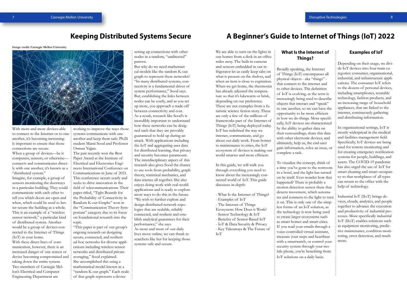

With more and more devices able to connect to the Internet or to one another, it's becoming increasingly important to ensure that those connections are secure.

When a group of devices—be it computers, sensors, or otherwise connects and communicates directly with one another, it's known as a "distributed system."

Imagine, for example, a group of sensors monitoring the doorways in a particular building. They could communicate with each other to tell you which doors are open and when, which could be used to better secure the building as a whole. This is an example of a "wireless sensor network," a particular kind of distributed system. Another would be a group of devices connected to the Internet of Things (IoT) in your home.

With these direct lines of communication, however, there is an increased danger of one sensor or device becoming compromised and taking down the entire system. Two members of Carnegie Mellon's Electrical and Computer Engineering Department are

working to improve the ways those systems communicate with one another and keep them safe: Ph.D. student Mansi Sood and Professor Osman Yağan.

The pair recently won the Best Paper Award at the Institute of Electrical and Electronics Engineers International Conference on Communications in June of 2021. This conference occurs yearly and seeks to drive innovation in the field of telecommunications. Their paper titled, "Tight Bounds for the Probability of Connectivity in Random K-out Graphs" won in the "Communication Theory Symposium" category due to its focus on foundational research into the topic.

"This paper is part of our group's ongoing research on designing secure, connected, and resilient ad-hoc networks for diverse applications including wireless sensor networks and distributed private averaging," Sood explained. She accomplished this using a mathematical model known as a "random K-out graph." Each node of that graph represents a device

setting up connections with other nodes in a random, "undirected" pattern.

But why do we need mathematical models like the random K-out graph to represent these networks? "In many distributed systems, connectivity is a fundamental driver of system performance," Sood says. But, establishing the links between nodes can be costly, and as you set up more, you approach a trade-off between connectivity and cost. As a result, research like Sood's is incredibly important to understand how these networks can be designed such that they are provably guaranteed to hold up during an attack. With applications including the IoT and aggregating user data for distributed learning, that privacy and security becomes paramount. The interdisciplinary aspect of this research also gives Sood the chance to use tools from probability, graph theory, statistical mechanics, and data science all together. She also enjoys doing work with real-world applications and is ready to explore more ways to do this in the future. "We wish to further explore and design distributed network topologies that are scalable, reliably connected, and resilient and establish analytical guarantees for their performance," she says. As more and more of our daily lives move online, we can thank researchers like her for keeping those systems safe and secure.

**Image credit: Carnegie Mellon University**



## **A Beginner's Guide to Internet of Things (IoT) 2022**

We are able to turn on the lights in our homes from a desk in an office miles away. The built-in cameras and sensors embedded in our refrigerator let us easily keep tabs on what is present on the shelves, and when an item is close to expiration. When we get home, the thermostat has already adjusted the temperature so that it's lukewarm or brisk, depending on our preference. These are not examples from a futuristic science fiction story. These are only a few of the millions of frameworks part of the Internet of Things (IoT) being deployed today. IoT has redefined the way we interact, communicate, and go about our daily work. From homes to maintenance to cities, the IoT ecosystem of devices is making our world smarter and more efficient.

In this guide, we will walk you through everything you need to know about the increasingly connected world of IoT. This guide discusses in-depth:

- What Is the Internet of Things?

- Examples of IoT

- The Internet of Things
- Ecosystem: How Does it Work?
- Sensor Technology & IoT
- Benefits of Sensor-Based IoT
- IoT & Data Security & Privacy

- Key Takeaways & The Future of IoT

#### **What Is the Internet of Things?**

Broadly speaking, the Internet of Things (IoT) encompasses all physical objects - aka "things" that connect to the internet and to other devices. The definition of IoT is evolving, as the term is increasingly being used to describe objects that interact and "speak" to one another, so we can have the opportunity to be more efficient in how we do things. More specifically, IoT devices are characterized by the ability to gather data on their surroundings, share this data with other electronic devices, and ultimately, help us, the end-user gain information, solve an issue, or complete a task.

To visualize the concept, think of a time you've gone to the restroom in a hotel, and the light has turned on by itself. Ever wonder how that happened? There is probably a motion detection sensor there that detects movement, which automates and connects to the light to turn it on. This is only one of the simplest forms of an IoT solution, as the technology is now being used to create larger ecosystems such as smart homes and smart cities. If you read your emails through a voice-controlled virtual assistant, measure your steps and heartbeat with a smartwatch, or control your security system through your mobile phone, you're benefiting from IoT solutions on a daily basis.

#### **Examples of IoT**

Depending on their usage, we divide IoT devices into four main categories: consumer, organizational, industrial, and infrastructure applications. The consumer IoT refers to the dozens of personal devices, including smartphones, wearable technology, fashion products, and an increasing range of household appliances, that are linked to the internet, continuously gathering and distributing information.

In organizational settings, IoT is mostly widespread in the medical and facilities management field. Specifically, IoT devices are being used for remote monitoring and for creating emergency notification systems for people, buildings, and assets. The COVID-19 pandemic has also urged the use of IoT for smart cleaning and smart occupancy so that workplaces of all types can return to the office with the help of technology.

Industrial IoT (IIoT) brings devices, clouds, analytics, and people together to advance the execution and productivity of industrial processes. More specifically industrial IoT (IIoT) enables solutions such as equipment monitoring, predictive maintenance, condition monitoring, error detection, and much more.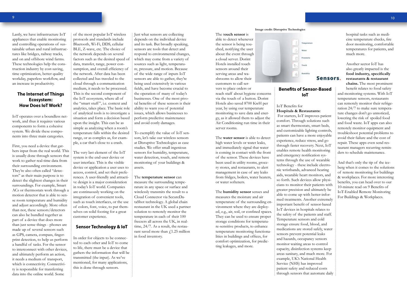Lastly, we have infrastructure IoT appliances that enable monitoring and controlling operations of sustainable urban and rural infrastructures like bridges, railway tracks, and on and offshore wind farms. These technologies help the construction industry by cost-saving, time optimization, better quality workday, paperless workflow, and an increase in productivity.

#### **The Internet of Things Ecosystem: How Does IoT Work?**

IoT operates over a boundless network, and thus it requires various components to form a cohesive system. We divide these components into three main categories.

First, you need a device that gathers input from the real world. This is usually done through sensors that work to gather real-time data from their surrounding environment. They're also often called "detectors" as their main purpose is to detect the slightest changes in their surroundings. For example, Smart ACs or thermostats work through a motion detector that is able to sense room temperature and humidity and adjust accordingly. More often than not, these sensors/detectors can also be bundled together as part of a device that does more than just sense things - phones are made up of several sensors such as GPS, camera, compass, fingerprint detection, to help us perform a handful of tasks. For the sensor to interconnect with other devices, and ultimately perform an action, it needs a medium of transport, which is connectivity. Connectivity is responsible for transferring data into the online world. Some

of the most popular IoT wireless protocols and standards include Bluetooth, Wi-Fi, DDS, cellular BLE, Z-wave, etc. The choice of the network depends on several factors such as the desired speed of data, transfer, range, power consumption, and overall efficiency of the network. After data has been collected and has traveled to the cloud through a communication medium, it needs to be processed. This is the second component of the IoT ecosystem, where all of the "smart stuff", i.e. context and analytics, takes place. The basic role of analytical tools is to investigate a situation and form a decision based upon the insight. This can be as simple as analyzing when a room's temperature falls within the desired range, or as complex as, for example, a car that's close to a crash.

The very last element of the IoT system is the end-user device or user interface. This is the visible device or application a user uses to access, control, and set their preferences. A user-friendly and attractive design is a major consideration in today's IoT world. Companies are continuously working on the integration of convenient tools, such as touch interfaces, or the use of colors, font, voice, to put themselves on solid footing for a great customer experience.

#### **Sensor Technology & IoT**

In order for objects to be connected to each other and IoT to come to life, there must be a device that gathers the information that will be transmitted (the input). As we've mentioned, for many applications, this is done through sensors.

Just what sensors are collecting depends on the individual device and its task. But broadly speaking, sensors are tools that detect and respond to environmental changes, which may come from a variety of sources such as light, temperature, pressure, and motion. Because of the wide range of inputs IoT sensors are able to gather, they're being used extensively in various fields, and have become crucial to the operation of many of today's businesses. One of the most pivotal benefits of these sensors is their ability to warn you of potential issues, which allows businesses to perform predictive maintenance and avoid costly damages.

To exemplify the value of IoT sensors, let's take our wireless sensors at Disruptive Technologies as case studies. We offer small ingenious sensors for humidity, temperature, water detection, touch, and remote monitoring of your buildings & assets.

#### The **temperature sensor** can

measure the surrounding temperature in any space or surface and wirelessly transmits the result to a Cloud Connector via SecureDataShot technology. A global chain restaurant in the UK used a partner solution to remotely monitor the temperature in each of their 100 freezers all across the UK, in realtime, 24/7. As a result, the restaurant saved more than  $f$  1.25 million in food inventory.

The t**ouch sensor** is able to detect whenever the sensor is being touched, notifying the user about the event through a cloud server. Dorint Hotels installed touch sensors around their serving areas and washrooms to allow their customers to call servers to place orders or reach staff about hygiene concerns via the touch of a button. Dorint Hotels also saved 8700 KwH per year, by using our temperature monitoring to save data and energy, as it allowed them to adjust the Air Conditioning run time in their server rooms.

The **water sensor** is able to detect high water levels or water leaks, and immediately signal that water is coming in contact with the front of the sensor. These devices have been used in utility rooms, grocery stores, and restaurants, to alert management in case of any leaks from fridges, boilers, water heaters, or water softeners.

The **humidity sensor** senses and measures the moisture and air temperature of the surrounding environment where they are deployed, e.g., air, soil, or confined spaces. They can be used to ensure proper storage conditions for temperature-sensitive products, to enhance temperature monitoring functionalities in buildings and offices, for comfort optimization, for predicting leakages, and more.



#### **Benefits of Sensor-Based IoT**

#### IoT Benefits for **Hospitals & Restaurants:**

 For starters, IoT improves patient comfort. Through solutions such as smart thermostats, smart beds, and customizable lighting controls, patients can have a more enjoyable experience, reduce stress, and go through faster recovery. Next, IoT enables remote health monitoring and emergency notification systems through the use of wearable technology - these include electronic wristbands, advanced hearing aids, wearable heart monitors, and so forth. Such devices allow physicians to monitor their patients with greater precision and ultimately be able to come up with better-informed treatments. Another extremely important benefit of sensor-based IoT devices in hospitals relates to the safety of the patients and staff. Temperature sensors and cold storage ensure food, blood, and medications are stored safely, water sensors prevent potential leaks and hazards, occupancy sensors monitor waiting areas to control capacity, disinfection systems keep areas sanitary, and much more. For example, UK's National Health Service (NHS) has improved patient safety and reduced costs through sensors that automate daily

hospital tasks such as medicine temperature checks, fire door monitoring, comfortable temperatures for patients, and much more.

Another sector IoT has also greatly impacted is the **food industry, specifically restaurants & restaurant chains.** The most prominent

benefit relates to food safety and monitoring systems. With IoT temperature sensors, restaurants can remotely monitor their refrigeration 24/7 to make sure temperature changes don't go unnoticed, lowering the risk of spoiled food and food waste. IoT apps can also remotely monitor equipment and troubleshoot potential problems to avoid their failure and the cost of repair. These apps even send restaurant managers recurring reminders to schedule maintenance.

And that's only the tip of the iceberg when it comes to the solutions of remote monitoring for buildings & workplaces. For more interesting benefits, you can head over to our 10-minute read on 9 Benefits of IoT-Enabled Remote Monitoring For Buildings & Workplaces.

#### **Image credit: Disruptive Technologies**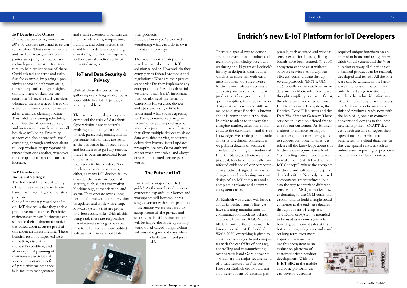#### **IoT Benefits For Offices:**

Due to the pandemic, more than 50% of workers are afraid to return humidity, and other factors that to the office. That's why real estate and facilities management companies are opting for IoT sensor technology and smart infrastructure, to help reduce some of these Covid-related concerns and risks. Say, for example, by placing a proximity sensor in bathroom stalls, the sanitary staff can get insights on how often workers use the restroom. Then, the staff can clean whenever there is a need, based on actual bathroom occupancy instead of a manual cleaning routine. This validates cleaning schedules, optimizes the office's resources, and increases the employee's overall health & well-being. Proximity sensors can also ensure safe social distancing, through reminder alerts to keep workers at appropriate distances from one another, whenever the occupancy of a room starts to increase.

#### **IoT Benefits for Industrial Settings:**

The Industrial Internet of Things (IIOT) uses smart sensors to enhance manufacturing and industrial processes.

One of the most praised benefits of IIoT devices is that they enable predictive maintenance. Predictive maintenance means businesses can schedule their maintenance activities based upon accurate predictions about an asset's lifetime. These benefits result in improved asset

utilization, visibility of the asset's condition, and allows optimal planning of maintenance activities. A second important benefit of predictive maintenance is in facilities management

and smart substations. Sensors can monitor vibrations, temperature, could lead to deficient operating conditions, and alert management so they can take action to fix or prevent damages.

#### **IoT and Data Security & Privacy**

With all these devices consistently gathering everything we do, IoT is susceptible to a lot of privacy & security problems.

The main issues today are cybercrime and the risks of data theft. Cybercriminals are constantly evolving and looking for methods to hack passwords, emails, and impersonate staff to malware. And as the pandemic has forced people and businesses to go fully remote, there has been an increased focus on the issue.

IoT's security history doesn't do much to prevent these issues, either, as many IoT devices fail to consider the basic protocols of security, such as data encryption, blocking tags, authentication, and so on. They operate over a long period of time without supervision or updates and work with cheap, low-cost systems that are prone to cybersecurity risks. With all this being said, there are responsible manufacturers who go the extra mile to fully secure the embedded software or firmware built into

their products.

Now, we know you're worried and wondering: what can I do to own my data and privacy?

The most important step is research - learn about your IoT solution supplier. How well do they comply with federal protocols and regulations? What are their privacy standards? Do they implement any encryption tools? And as dreadful we know it may be, it's important that you also read the terms of conditions for services, devices, and apps every single time to understand what you are agreeing to. Then, to reinforce your protection once you've purchased or installed a product, disable features that allow multiple devices to share data with third parties, constantly delete data history, install updates promptly, use two-factor authentication when applicable, and always create complicated, secure passwords.

#### **The Future of IoT**

And that's a wrap on our IoT guide! As the number of devices connected expands, our homes and workspaces will become increasingly overrun with smart products – presuming we are prepared to accept some of the privacy and security trade-offs. Some people will be happy about the upcoming world of advanced things. Others will miss the good old days when

a table was indeed just a table.

## **Endrich's new E-IoT Platform for IoT Developers**

There is a special way to demonstrate the exceptional product and technology knowledge base built up during the 45 years of Endrich's history in design-in distribution, which is to share this with customers in a form of a free-to-use hardware and software eco-system. The company has state of the art product portfolio, good mix of quality suppliers, hundreds of won designs at customers and still our major role, what Endrich is known about is component distribution. In order to adapt to the very fast changing market, offer something extra to the customers – and that is knowledge. We participate on trade shows and technical conferences, we publish dozens of technical articles and running our traditional Endrich News, but there were no practical, touchable, physically manifested evidence of our competence in product design. That is what changes now by releasing our own design of an IoT computer and a complete hardware and software ecosystem around it.

As Endrich was always well known about its perfect sensor line, we have a leading manufacturer of communication modems behind, and one of the first RISC-V based MCU in our portfolio has won the innovation prize of Embedded World 2020, everything is given to create an own single board computer with the capability of sensing, controlling and communicating over narrow band GSM networks – which are the major requirements of a fully featured IoT device. However Endrich did not did not stop here, dozens of external peripherals, such as wired and wireless sensor extension boards, display boards have been created. The IoT ecosystem cannot exist without software services. Although our SBC can communicate through several protocols (MQTT, UDP etc.) to well-known database providers such as Microsoft's Azure, we thought simplicity is a major factor, therefore we also created our own Endrich Software Ecosystem, the Endrich Cloud DB system and the Data Visualization Gateway. These services thus can be offered free to use for our customers. As Endrich is about to enhance serving its customers, and our primer goal is to support components sales, we release all the knowledge about this hardware development in a book "Connecting conventional devices to make them SMART – The E-IoT Concept", where the complete hardware and software concept is detailed written. Not only the used components are introduced, but also the way to interface different sensors to an MCU, to realize power domains, to use GSM communication - and to build a single board computer at the end - are detailed through dozens of chapters. The E-IoT ecosystem is intended to be used as a demo system for boosting component sales at first, but we are targeting a second - and on long term even more important – stage: to use this ecosystem as an evaluation platform of customer driven product development. With the E-IoT SBC in the middle as a basic platform, we can develop customer

required unique functions on an extension board and using the Endrich Cloud System and the Visualization gateway all functions of a finished product can be realized, developed and tested . All the software can be written, all the hardware functions can be built, and only the last stage remains then, which is the industrialization: miniaturization and approval process. The SBC can also be used as a finished product already now, with the help of it, one can connect conventional devices to the Internet, making them SMART devices, which are able to report their operational and environmental parameters to a cloud database. In this way special services such as online status reporting or predictive maintenance can be supported.



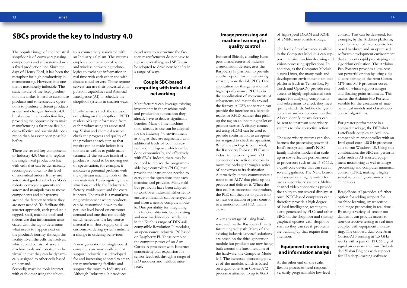#### **Image processing and machine learning for quality control**

Industrial Shields, a leading European manufacturer of industrial automation devices, uses the Raspberry Pi platform to provide another option for implementing smarter, more flexible PLCs. One application for this generation of higher-performance PLC lies in the coordination of movements of subsystems and materials around the factory. A USB connection can provide the interface to a barcode reader or RFID scanner that picks up the tag on an incoming pallet or product carrier. A display connected using HDMI can be used to provide confirmation to an operator assigned to check its operation. When the package is confirmed, the Raspberry Pi-based PLC uses industrial networking and I/O connections to activate motors to move the package through a series of conveyors to its destination. Alternatively, it may communicate a route to an AGV that picks up the product and delivers it. When the first cell has processed the product, the PLC can then act to guide it to its next destination or pass control to a motion-control PLC that is closer.

A key advantage of using hardware such as the Raspberry Pi is its future upgrade path. Many of the existing industrial-control solutions are based on the third-generation module but products are now being built around the latest iteration of the hardware: the Computer Module 4. The increased processing power of the module, which is based on a quad-core Arm Cortex-A72 processor attached to up to 8GB

of high-speed DRAM and 32GB of eMMC non-volatile storage.

The level of performance available in the Computer Module 4 can support intensive machine-learning and vision-processing applications. In addition, as the Computer Module 4 runs Linux, the many tools and development environments on that platform (such as Tensorflow, Py-Torch and OpenCV) provide easy access to highly sophisticated techniques for analysing components and subsystems to check they meet quality standards. Subtle changes in colour or surface composition that AI can identify means alerts can be sent to upstream supervisory systems to take corrective action.

The supervisory systems can also harness the processing power of Intel's ecosystem. Intel's NUC family includes models that scale up in cost-effective performance to processors such as the i7-8665U, a quad-core device that can run at several gigahertz. The NUC boards and systems are highly suited for use as supervisory systems. Multichannel video connections provide the ability to run several displays at once. NUC-based computers can therefore provide a high degree of local intelligence, reacting to alerts generated by PLCs and other SBCs on the shopfloor and sharing graphical updates with shopfloor staff so they can see if problems are building up that require their attention.

The popular image of the industrial i tous connectivity associated with shopfloor is of conveyors passing components and subsystems down a fixed production line. Since the days of Henry Ford, it has been the logies to exchange information in metaphor for high productivity in manufacturing. However, it is one that is notoriously inflexible. The static nature of the fixed production line makes it hard to customise products and to reschedule operations to produce different products as demand changes. Industry 4.0 breaks down the production line, providing the opportunity to make manufacturing a far more flexible, cost-effective and sustainable operation than has ever been possible before.

#### **Equipment monitoring and information analysis**

At the other end of the scale, flexible processes need responsive, easily programmable low-level

control. This can be delivered, for example, by the Arduino platform, a combination of microcontrollerbased hardware and an optimised software-development environment that supports rapid prototyping and algorithm evaluation. The Arduino Pro Portenta provides a low-cost but powerful option by using a dual-core pairing of the Arm Cortex-M7F and M4F processor cores, both of which support integer and floating-point arithmetic. This makes the Arduino Pro Portenta suitable for the execution of mathematical models and closed-loop control algorithms.

For greater performance in a compact package, the DFRobot LattePanda couples an Arduinocompatible microcontroller with an Intel quad-core 1.8GHz processor able to run Windows 10. Using this combination, the SBC can perform tasks such as AI-assisted equipment monitoring as well as image processing and computer numerical control (CNC), making it highly suited to building customised machine tools.

BeagleBone AI provides a further option for adding support for machine learning, smart sensor and image processing in real time. By using a variety of sensor modalities, it can provide access to non-destructive testing in real time coupled with equipment monitoring. The onboard dual-core Arm Cortex-A15 running at 1.5 GHz works with a pair of TI C66 digital signal processors and four Embedded Vision Engines with support for TI's deep-learning software.

#### **SBCs provide the key to Industry 4.0**

There are several key components to Industry 4.0. One is to replace the single fixed production line with cells that can be dynamically reconfigured down to the level of individual orders. It may use automated guided vehicles (AGVs), robots, conveyor segments and automated manipulators to move components and subsystems around the factory to where they are next needed. To facilitate this smarter approach, each product is tagged. Staff, machine tools and robots use that information associated with the tag to determine what needs to happen next on the product's journey through the facility. Even the cells themselves, which could consist of several machine tools and robots, may be virtual in that they can be dynamically assigned to other cells based on demand.

Secondly, machine tools interact with each other using the ubiqui-

an Industry 4.0 plant. The systems employ a combination of wired and wireless networking technoreal time with each other and with distant cloud servers. Those remote servers can use their powerful computation capabilities and Artificial Intelligence (AI) to schedule the shopfloor systems in smarter ways.

Finally, sensors track the status of everything on the shopfloor. RFID readers pick up information from each product using its associated tag. Vision and chemical sensors check the progress and quality of the product at each step so that repairs can be made before it is too late as well as to guide maintenance. If the surface finish of a product is found to be moving out of specification, for example, it indicates a potential problem with the upstream machine tools or the raw materials. By recognising these situations quickly, the Industry 4.0 factory avoids waste and the costs it incurs. The result is a manufacturing environment where products can be customised down to the per-unit level based on customer demand and one that can quickly switch schedules if a key source material is in short supply or if the customer-ordering systems indicate a change in ordering behaviour.

A new generation of single-board computers are now available that support industrial use; developed for and increasing adopted to smarten manufacturing facilities and support the move to Industry 4.0. Although Industry 4.0 introduces

novel ways to restructure the factory, manufacturers do not have to replace everything, and SBCs can be adopted to drive new benefits in a range of ways.

#### **Couple SBC-based computing with industrial networking**

Manufacturers can leverage existing investments in the machine tools and production automation they already have to deliver significant benefits. Many of the machine tools already in use can be adapted for the Industry 4.0 environment as long as they are augmented with additional levels of communication and intelligence which can be done economically, and effectively with SBCs. Indeed, there may be no need to replace the programmable logic controllers (PLCs) that provide the instructions needed to carry out the operations that each machine tool provides. Many fieldbus protocols have been adapted to work over industrial Ethernet to ensure commands can be relayed to and from a nearby compute module. One possibility for integrating this functionality into both existing and new machine-tool panels lies in the Kunbus range of DIN-rail compatible Revolution Pi modules, an open-source industrial PC based on Raspberry Pi. These combine the compute power of an Arm Cortex-A processor with Ethernet connectivity plus expansion for sensor feedback through a range of I/O modules and fieldbus interfaces.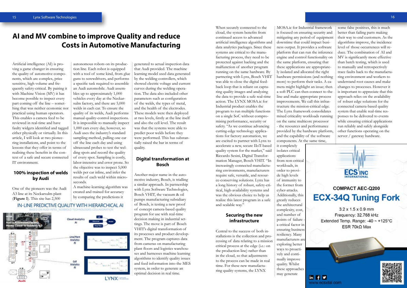When securely connected to the cloud, the system benefits from continued access to advanced artificial intelligence algorithms and data analytics packages. Since these systems are critical to the manufacturing process, they need to be protected against hacking and the malfunction of another program running on the same hardware. By partnering with Lynx, Bosch VHIT was able to close the digital feedback loop that is reliant on capturing quality images and analyzing the data to provide a safe real-time action. The LYNX MOSA.ic for Industrial product enables the program to run multiple functions on a single SoC without compromising performance, security or safety. "As we continue advancing cutting-edge technology applications for factory automation, we are excited to partner with Lynx to accelerate a new, secure IIoT-based quality system for the market," said Riccardo Sesini, Digital Transformation Manager, Bosch VHIT. "In increasingly connected manufacturing environments, manufacturers require safe, versatile, and resource-conserving solutions. Lynx has a long history of robust, safety-critical, high-availability systems and was the obvious choice to help us realize this latest program in a safe and scalable way."

#### **Securing the new infrastructure**

Central to the success of both installations is the collection and processing of data relating to a mission critical process at the edge (i.e.: on the production line) rather than in the cloud, so that adjustments to the process can be made in real time. For these new manufacturing quality systems, the LYNX

MOSA.ic for Industrial framework is focused on ensuring security and mitigating any period of equipment downtime that could impact business output. It provides a software platform that can run the inference engine and control functionality on the same platform, ensuring that these applications are appropriately isolated and allocated the right hardware permissions (and nothing more) to perform their tasks. A camera might highlight an issue; then a soft PLC can then connect to the line and make appropriate process improvements. We call this infrastructure the mission-critical edge. The Lynx framework consolidates mixed criticality workloads running on the same multicore processor - the resources and performance provided by the hardware platform, and the capability of the software components. At the same time, it completely isolates critical applications from non-critical workloads, in order to provide high levels of immunity to the former from cyber-attacks. Additionally, this **ECX-34Q Tuning Fork** greatly reduces

the architectural complexity, cost, and number of points of failure a critical factor in ensuring business resiliency. Many manufacturers ar[e](https://ecsxtal.com/ecx-34q?utm_source=electronicsupdate&utm_medium=febpublication&utm_campaign=electronicsupdate-feb34Q&utm_id=electronicsupdate-feb34Q&utm_term=ecs+inc+frequency+control)  exploring better ways to proactively and continually improve quality. Whilst these approaches may generate

some false positives, this is much better than failing parts making their way to end customers. As the algorithms improve, the incidence level of those occurrences will reduce. The combination of AI and MV is significantly more effective than batch testing, which is used to manually and retrospectively trace faults back to the manufacturing environment and workers to understand root causes and make changes to processes. However it is important to appreciate that this approach relies on the availability of robust edge solutions for the connected camera-based quality system that enable real-time responses to be delivered to events while ensuring critical applications run reliably and safely alongside other functions operating on the server / gateway hardware.



#### **COMPACT AEC-Q200**

 $3.2 \times 1.5 \times 0.9$  mm Frequency: 32.768 kHz Extended Temp. Range: -40 ~ +125°C ESR 70k $\Omega$  Max





15

#### **AI and MV combine to improve Quality and reduce Costs in Automotive Manufacturing**

Artificial intelligence (AI) is proving a game changer in ensuring the quality of automotive components, which are complex, price sensitive, high volume and frequently safety-critical. By pairing it with Machine Vision (MV) it has become possible to inspect every part coming off the line – something that was neither economic nor practical using human operators. This enables a camera feed to be reviewed in real-time and have faulty widgets identified and tagged either physically or virtually. In this article, I will look at two pioneering installations, and point to the lessons that they offer in terms of realising these benefits in the context of a safe and secure connected IT environment.

#### **100% inspection of welds by Audi**

One of the pioneers was the Audi A3 line at its Neckarsulm plant (**Figure 1**). This site has 2,500

autonomous robots on its production line. Each robot is equipped with a tool of some kind, from glue guns to screwdrivers, and performs a specific task required to assemble an Audi automobile. Audi assembles up to approximately 1,000 vehicles every day at the Neckarsulm factory, and there are 5,000 welds in each car. To ensure the quality of its welds, Audi performs manual quality-control inspections. It is impossible to manually inspect 1,000 cars every day, however, so Audi uses the industry's standard sampling method, pulling one car off the line each day and using ultrasound probes to test the welding spots and record the quality of every spot. Sampling is costly, labor-intensive and error prone. So the objective was to inspect 5,000 welds per car inline, and infer the results of each weld within microseconds.

A machine-learning algorithm was created and trained for accuracy by comparing the predictions it



generated to actual inspection data that Audi provided. The machine learning model used data generated by the welding controllers, which showed electric voltage and current curves during the welding operation. The data also included other parameters such as configuration of the welds, the types of metal, and the health of the electrodes. These models were then deployed at two levels, firstly at the line itself and also the cell level. The result was that the systems were able to predict poor welds before they were performed. This has substantially raised the bar in terms of quality.

#### **Digital transformation at Bosch**

Another major name in the automotive industry, Bosch, is trialling a similar approach. In partnership with Lynx Software Technologies, Bosch VHIT, the vacuum & oil pumps manufacturing subsidiary of Bosch, is testing a new proof of concept camera-based quality program for use with real-time decision making in industrial settings. The move is part of Bosch VHIT's digital transformation of its processes and product development. The program captures data from cameras on manufacturing plant floors and logistics warehouses and harnesses machine learning algorithms to identify quality issues and feed information into the MES system, in order to generate an optimal decision in real time.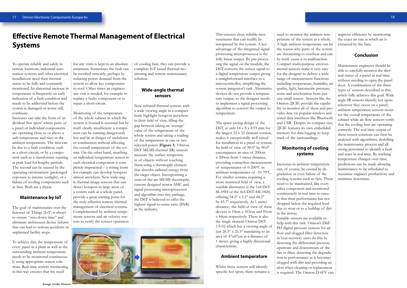## **Effective Remote Thermal Management of Electrical Systems**

To operate reliably and safely in remote locations, industrial automation systems and other electrical installations need their thermal status to be fully and constantly monitored.An abnormal increase in temperature is frequently an early indication of a fault condition and needs to be addressed before the system is damaged or worse still, combusts.

Increases can take the form of individual 'hot spots' where parts of a panel or individual components are operating close to or above a safe temperature and rises in the ambient temperature. The first can be due to a fault condition, such as a short circuit, or by a component such as a transformer running at peak load for lengthy periods. The second can be caused by the operating environment (prolonged exposure to intense sunlight), or a failure of cooling components such as fans. Both are a threat.

 $\frac{1}{2}$  for site visits is kept to an absolute minimum. Sometimes the fault can be rectified remotely, perhaps by reducing power demand from the system to allow key components to cool. Other times an engineer site visit is needed, for example to replace a faulty component or to repair a short circuit.

#### **Maintenance by IoT**

The goal of maintenance over the Internet of Things (IoT) is always to ensure "zero down time" and eliminate unforeseen device failures that can lead to serious accidents or unplanned facility stops.

To achieve this, the temperature of every panel in a plant as well as the surrounding ambient temperature needs to be monitored continuously using appropriate sensor solutions. Real-time remote monitoring in this way ensures that the need

Monitoring of the temperature of the whole cabinet in which the system is housed is essential but by itself clearly insufficient: a component can be running dangerously hot and be in danger of meltdown or combustion without affecting the overall temperature of the system. On the other hand, attaching an individual temperature sensor to each electrical component is completely impractical – a wiring loom for example can develop hotspots almost anywhere. New wide-ang- $\frac{1}{2}$  le thermal image sensors that can detect hotspots in large areas of a system such as a whole panel, provide a great starting point for the truly effective remote thermal management of electrical systems. Complemented by ambient temperature sensors and air velocity sensors to verify the correct operation

of cooling fans, they can provide a complete IoT based thermal monitoring and remote maintenance solution.

#### **Wide-angle thermal sensors**

New infrared thermal sensors with a wide viewing angle in a compact body highlight hotspots anywhere in their field of view, filling the gap between taking an 'average' value of the temperature of the whole system and taking a reading of the temperature at one or two selected points (**Figure 1**). Omron D6T MEMS thermal (IR) sensors measure the surface temperature of objects without touching them using a thermopile element that absorbs radiated energy from the target object. Incorporating a state-of-the-art MEMS thermopile, custom designed sensor ASIC and signal processing microprocessor and algorithm into tiny package, the D6T is believed to offer the highest signal-to-noise ratio (SNR) in the industry.



This ensures clear, reliable measurements that can readily be interpreted by the system. A key advantage of the integrated signal processing microprocessor is the fully linear output. By pre-processing the signal on the module, the D6T converts the sensor signal to a digital temperature output giving a straightforward interface to a microcontroller, simplifying the system integrator's task. Alternative devices do not provide a temperature output, so the designer needs to implement a signal processing algorithm to convert the output to temperature.

The space saving design of the D6T, at only 14 x 8 x 8.93 mm for the largest 32 x 32 element version, makes it exceptionally well suited for installation in a panel or system. Its field of view of 90.0° by 90.0° encompasses an area of 200cm x 200cm from 1 meter distance, providing contactless measurement of temperatures of 0-200ºC in ambient temperatures of -10-70ºC. For smaller systems requiring a more restricted field of view, a suitable alternative is the 1x8 D6T-8L-09H or the 4x4 D6T-44L-06H, offering 54.5° x 5.5° and 44.2° by 45.7° respectively. At 1 meter distance; the field of view of these devices is 10cm x 103cm and 81cm x 84cm respectively. There is also the single element Omron D6T-1A-02 which has a viewing angle of just 26.5° x 26.5° translating to an area of 47x47cm at a distance of 1 meter, giving a highly directional characteristic.

#### **Ambient temperature**

Whilst these sensors will identify specific hot spots, there remains a need to monitor the ambient temperature of the system as a whole. A high ambient temperature can be the reason why parts of the system are threatening to overheat and can by itself cause it to malfunction. Compact multi-purpose environmental sensors make it very easy for the designer to deliver a wide range of measurement functions including temperature, humidity, air quality, light, barometric pressure, noise and acceleration from just one small sensor. Sensors like the Omron 2JCIE provide the capability to monitor all of these and provides data via popular wireless and wired data interfaces like Bluetooth and USB. Despite its compact size, 2JCIE features its own embedded memory for data logging to keep track of the surroundings.

#### **Monitoring of cooling systems**

Increases in ambient temperature can, of course, be caused by degradation or even failure of the cooling systems such as fans. These need to be maintained, like every other component and monitored continuously in real time to ensure that their performance has not dropped below the required level due to wear or to a buildup of dirt in the airway.

Suitable sensors are available to help with this task. Omron's D6F-PH digital pressure sensors for air flow and clogged filter detection in heat recovery units do this by detecting the differential pressure upstream and downstream of the fan or filter, detecting the degradation in performance as it becomes clogged with dirt and providing an alert when cleaning or replacement is required. The Omron D-6FV can

improve efficiency by monitoring the exact air rate at which air is extracted by the fans.

#### **Conclusion**

Maintenance engineers should be able to carefully monitor the thermal status of a panel in real time without needing to open the panel door. A combination of the three types of sensors described in this article fully achieves this goal. Wide angle IR sensors identify hot spots wherever they occur on a panel; ambient temperature sensors monitor the overall temperature of the cabinet while air flow sensors verify that the cooling fans are operating correctly. The real-time output of these sensor solutions can then be analysed with algorithms, deskilling the maintenance process and allowing personnel to identify a fault and react in real time. By tracking temperature changes over time, predictions can be made allowing maintenance to be scheduled to maximise engineer productivity and minimise downtime.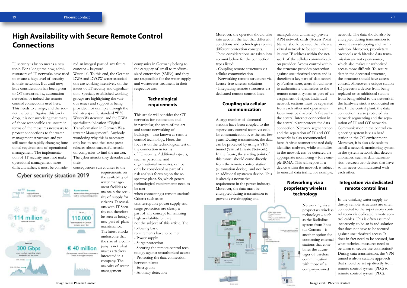IT security is by no means a new topic. For a long time now, administrators of IT networks have tried Water 4.0. To this end, the German to ensure a high level of security in their networks. But until now, little consideration has been given to OT networks, i.e., automation networks, or indeed the remote control connections used here. This needs to change, and the sooner the better. Against this backdrop, it is not surprising that many of those responsible are unsure in terms of the measures necessary to protect connections to the water management structures and yet still meet the rapidly changing functional requirements of operational management. The implementation of IT security must not make operational management more difficult; rather, it must be conside- : consequences run counter to the

Cyber security situation 2019



## **High Availability with Secure Remote Control Connections**

Highly efficient

**Kill** Emotet **KS** 



 $\therefore$  red an integral part of any future concept – keyword:

DWA and DVGW water associations are working intensively on the issues of IT security and digitalization. Specially established working groups are highlighting the various issues and support is being provided, for example through the industry-specific standard "B3S Water/Wastewater" and the DWA specialist publication "Digital Transformation in German Wastewater Management". Anybody wondering why this is necessary only has to read the latest press releases about successful attacks on companies to find the answer. The cyber attacks they describe and their

Advanced attacking techniques

Up to:

110,000

bot infections in German systems every day

 $$40$  million were caused by a ransomeare

mack in a single company

Moreover, the operator should take : manipulation. Ultimately, private into account the fact that different conditions and technologies require different protection concepts. These considerations are taken into account below for the connection types listed:

requirements on the availability of water management facilities to maintain the security of supply for citizens. Discussions with IT Security can therefore be seen as being a new part of plant maintenance. The latest attacks underscore that the size of a company is not what makes attackers interested in a company. The majority of water management

companies in Germany belong to the category of small to mediumsized enterprises (SMEs), and they are responsible for the water supply and wastewater treatment in their respective area.

#### **Technological requirements**

This article will consider the OT networks for automation and, in particular, the state-of-the-art and secure networking of buildings – also known as remote control technology. Here, the focus is on the technological test of the connection in terms of IT security. Additional aspects, such as personnel and organizational measures, can be only be considered as part of a risk analysis focusing on the respective plant. So, which general technological requirements need to be met

when connecting a remote station? Criteria such as an

uninterruptible power supply and surge protection are clearly a part of any concept for realizing high availability, but are not the subject of this article. The

following basic requirements have to be met:

- Power supply

- Surge protection

- Securing the remote control technology against unauthorized access

- Protecting the data connection

between plants

- Encryption

- Anomaly detection

- Coupling remote structures via cellular communication

- Networking remote structures via license-free wireless solutions - Integrating remote structures via dedicated remote control lines.

#### **Coupling via cellular communication**

A large number of decentral stations have been coupled to the supervisory control room via cellular communication over the last few years. During transmission, the data can be protected by using a VPN tunnel (Virtual Private Network). In the future, the starting point of this tunnel should come directly from the remote control station (automation device), and not from an additional upstream device. This is already a normative requirement in the power industry. Moreover, the data must be

encrypted during transmission to prevent eavesdropping and



APN network cards (Access Point Name) should be used that allow a virtual network to be set up with its own IP address within the network of the cellular communication provider. Access control within the structure provides protection against unauthorized access and is therefore a key part of data security. Furthermore, users should have to authenticate themselves to the remote control system as part of an assignment of rights. Individual network sections must be separated from each other and open interfaces must be disabled. A firewall at the central Internet connection in the central plant protects the data connection. Network segmentation and the separation of IT and OT networks is also recommended here. A virus scanner updated daily identifies malware, while anomalies in the network can be detected via appropriate monitoring – for example IRMA. This will report if a device within the network is subject to unusual data traffic, for example.

#### **Networking via a proprietary wireless technology**

Networking via a proprietary wireless technology – such as the Radioline system from Phoenix Contact – is another option for connecting external stations that combines the advantages of wireless communication with those of a company-owned

network. The data should also be encrypted during transmission to prevent eavesdropping and manipulation. Moreover, proprietary protocols with bit-wise data transmission are not open-source, which also makes unauthorized access more difficult. To secure data in the decentral structure, the structure should have access control. Moreover, a unique station ID prevents a device from being replaced or an additional station from being added to the network if the hardware stick is not located on site. In the central plant, the data connection is also protected via network segmenting and the separation of IT and OT networks. Communication in the control engineering system is via a head station in the OT environment. Moreover, it is also advisable to install a network monitoring system in the system network that detects anomalies, such as data transmission between two devices that have so far never communicated with each other.

#### **Integration via dedicated remote control lines**

In the drinking water supply industry, remote structures are often connected to the supervisory control room via dedicated remote control cables. This is often assumed, incorrectly, to be an island solution that does not have to be secured against unauthorized access. It does in fact need to be secured, but what technical measures need to be taken to secure the connection? During data transmission, the VPN tunnel is also a suitable approach that should be set up directly from remote control system (PLC) to remote control system (PLC).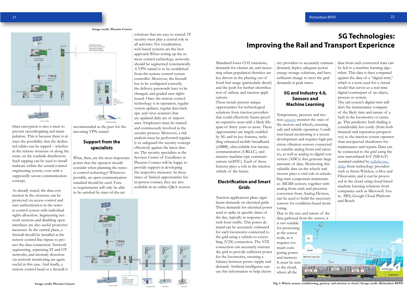21

Data encryption is also a must to prevent eavesdropping and manipulation. This is because there is always the possibility that the dedicated cables can be tapped – whether in the remote structure or along the route on the roadside distributors. Such tapping can be used to install malware within the central control engineering system, even with a supposedly secure communication concept.

As already stated, the data connection in the structure can be protected via access control and user authentication in the remote control system with individual rights allocation. Segmenting network sections and disabling open interfaces are also useful protective measures. In the central plant, a firewall should be installed at the remote control line inputs to protect the data connection. Network segmenting, separating IT and OT networks, and anomaly detection via network monitoring are again useful in this case. And finally, a remote control head or a firewall is

recommended as the peer for the incoming VPN tunnel.

#### **Support from the specialists**

What, then, are the most important points that the operator should consider when planning the remote control technology? Wherever possible, an open communication standard should be used. Future requirements will only be able to be satisfied by state-of-the-art

solutions that are easy to extend. IT



security must play a central role in all activities. For visualization, web-based systems are the best approach.When setting up the remote control technology, networks should be segmented systematically. A VPN tunnel is to be established from the remote control system controller. Moreover, the firewall has to be configured correctly, the delivery passwords have to be changed, and graded user rights issued. Once the remote control technology is in operation, regular system updates, regular data backups, and virus scanners that are updated daily are of importance. Employees must be trained and continuously involved in the security process. Moreover, a risk analysis must be performed regularly to safeguard the security concept effectively against the latest threats. The security specialists at the Services Center of Excellence at Phoenix Contact will be happy to provide support in developing the respective measures. In these times of limited opportunities for in-person contact, they are also available in an online Q&A session.

#### **Image credit: Phoenix Contact**



## **5G Technologies: Improving the Rail and Transport Expericnce**

Mandated lower CO2 emissions, demands for cleaner air, and increasing urban population densities are key drivers in the phasing out of fossil fuel usage (particularly diesel) and the push for further electrification of railway and traction applications.

These trends present unique opportunities for technological solutions from traction providers that could effectively future-proof an expensive asset with a likely lifespan of thirty years or more. These opportunities are largely enabled by 5G and its key features, including enhanced mobile broadband (eMBB), ultra-reliable low-latency communication (URLLC), and massive machine type communications (mMTC). Each of these features plays a role in the traction vehicle of the future.

#### **Electrification and Smart Grids**

Traction applications place significant demands on electrical grids. These demands for electrical power tend to spike at specific times of the day, typically in response to rush hour traffic. This power demand can be accurately estimated for each locomotive connected to the grid using a vehicle-to-everything (V2X) connection. The V2X connection can accurately instruct the grid to provide sufficient power for the locomotive, ensuring a balance between power supply and demand. Artificial intelligence can use this information to help electri-

city providers to accurately estimate data from each connected train can demand, deploy adequate power energy storage solutions, and have sufficient charge to meet the grid demands at peak times.

#### **5G and Industry 4.0, Sensors and Machine Learning**

Temperature, pressure and motion [sensors](https://www.richardsonrfpd.com/ProductCategory/Index/Sensors?utm_source=IoT-Traction-White-Paper&utm_medium=Sensors) monitor the state of the motors and wheels, ensuring safe and reliable operation. Condition-based monitoring is a recent development and requires high-precision vibration sensors connected to suitable analog front-end circuitry, as well as analog-to-digital converters (ADCs) that generate large amounts of data. Monitoring this valuable data on the wheels and motors plays a vital role in scheduling train component maintenance. MEMS sensors, together with analog front-ends and precision converters from Analog Devices, can be used to build the necessary sensors for condition-based monitoring.

Due to the size and nature of the data gathered from the sensor, it

is not suitable for processing at the sensor node, as it requires too much computing power and memory.

It must be sent to the cloud, where all the

be fed to a machine learning algorithm. This data is then compared against the data of a "digital twin," which is a term used for a virtual model that serves as a real-time digital counterpart of an object, process or system.

The rail system's digital twin will alert the maintenance company of the likely time and nature of a fault in the locomotive or carriage. This predictive fault-finding is considerably less costly (from both financial and reputation perspectives) to the traction system operator than unexpected shutdowns for maintenance and repairs. Data can be connected to the grid using the new narrowband IoT (NB-IoT) standard enabled by [cellular mo](https://www.richardsonrfpd.com/Products/Search?endCategory=LPWA-slash-LTE-M-slash-NB-IoT&utm_source=IoT-Traction-White-Paper&utm_medium=Modules)[dules](https://www.richardsonrfpd.com/Products/Search?endCategory=LPWA-slash-LTE-M-slash-NB-IoT&utm_source=IoT-Traction-White-Paper&utm_medium=Modules) from technology providers such as Sierra Wireless, u-blox and Fibocomm, and it can be processed in the cloud using cloud-based machine learning solutions from companies such as Microsoft Azure, AWS, Google Cloud Platform and Bosch.



**Fig. 1: Wheel, sensor, conditioning, gateway and antenna to cloud |Image credit: Richardson RFPD**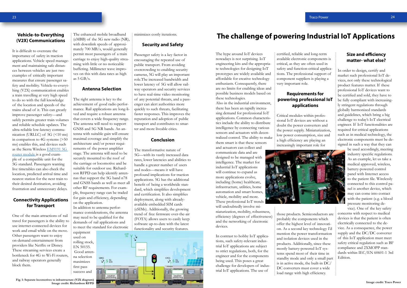#### **Vehicle-to-Everything (V2X) Communications**

It is difficult to overstate the importance of safety in traction applications. Vehicle speed management and maintaining safe distances between vehicles are just two examples of critically important measures that ensure passenger safety and mobility. Vehicle-to-everything (V2X) communication enables a train travelling at very high speed to do so with the full knowledge of the location and speeds of the trains ahead of it. This can greatly improve passenger safety—and safely permits greater train volumes and reliable schedule updates. The ultra-reliable low-latency communication (URLLC) of 5G (<10 ms) in comparison to 4G systems (>50 ms) enables this, and devices such as the Sierra Wireless [EM9191 5G](https://www.richardsonrfpd.com/Products/Product/EM9191_1104629?utm_source=IoT-Traction-White-Paper&utm_medium=EM9191)  [router module](https://www.richardsonrfpd.com/Products/Product/EM9191_1104629?utm_source=IoT-Traction-White-Paper&utm_medium=EM9191) is a good example of a compatible unit for the 5G standard. Passengers wanting live timetables can also check the location, predicted arrival time and nearest station for the next train to their desired destination, avoiding frustration and unnecessary delays.

The enhanced mobile broadband (eMBB) of the 5G new radio (NR), with downlink speeds of approximately 700 MB/s, would generally permit most passengers of a train carriage to enjoy high-quality streaming with little or no noticeable buffering. Millimeter wave improves on this with data rates as high as  $5$  GB/s.

#### **Connectivity Applications for Transport**

One of the main attractions of rail travel for passengers is the ability to use internet-connected devices for work and email while on the move. Other passengers want to enjoy on-demand entertainment from providers like Netflix or Disney. These streaming services create a bottleneck for 4G to Wi-Fi routers, and railway operators generally block them.

#### **Antenna Selection**

The right antenna is key to the achievement of good radio performance. Rail applications are long-lived and require a robust antenna that covers a wide frequency range. The antenna will need to support GNSS and 5G NR bands. An antenna with suitable gain will ensure maximal coverage and simplify the architecture and/or power requirements of the power amplifier stage. The antenna will need to be securely mounted to the roof of the carriage or locomotive and be suitable for outdoor use. Richardson RFPD can help identify antennas that support the 5G band n78 and GNSS bands as well as meet all other RF requirements. For example, frequency range can be traded for gain and efficiency, depending on the application.

In addition to antenna performance considerations, the antenna may need to be qualified for the demands of rail applications and to meet the standard for electronic

equipment used on rolling stock, EN 50155. Good antenna selection maximizes first pass success and

minimizes costly iterations.

#### **Security and Safety**

Passenger safety is a key factor in encouraging the repeated use of public transport. From avoiding overcrowding to enabling security cameras, 5G will play an important role.The increased bandwidth and lower latency of 5G will allow railway operators and security services to have real-time video monitoring of any potential threats, and a passenger can alert authorities more quickly to such threats, facilitating faster responses. This improves the reputation and adoption of public transport and contributes to smarter and more liveable cities.

#### **Conclusion**

The transformative nature of 5G—with its vastly increased data rates, lower latencies and abilities to handle a greater number of users and nodes—means it will have profound implications for traction applications. 5G has the additional benefit of being a worldwide standard, which simplifies development and certification. It also simplifies deployment, along with alreadyavailable embedded SIM cards (eSIMs). Additionally, the growing trend of free firmware over-the-air (FOTA) allows users to easily keep software up-to-date with the latest functionality and security features.





The hype around IoT devices nowadays is not surprising. IoT engineering kits and the appropriate technologies for designing IoT prototypes are widely available and affordable for creative technology enthusiasts. Consequently, there are no limits for enabling ideas and possible business models based on these technologies.

Also in the industrial environment, there has been an rapidly increasing demand for professional IoT applications. Common characteristics include the ability to distribute intelligence by connecting various sensors and actuators with decentralized control. The ability to make them smart is that these sensors and actuators can collect and

communicate data and are designed to be managed with intelligence. The market for industrial IoT applications will continue to expand as more applications evolve, including (home) healthcare, infrastructure, utilities, home automation and smart homes, vehicle, mobility and more. These professional IoT trends will undoubtedly involve miniaturization, mobility, robustness,

efficiency (degrees of effectiveness) and the networking of electronic devices.

In contrast to hobby IoT applications, such safety-relevant industrial IoT applications are subject to strict regulations, both, for the engineer and for the components being used. This poses a great challenge for developers of industrial IoT applications. The use of

certified, reliable and long-term available electronic components is critical, as they are often used in safety and function-critical applications. The professional support of component suppliers is playing a very important role.

#### **Requirements for powering professional IoT applications**

Critical modules within professional IoT devices are without a doubt the power converters and the power supply. Miniaturization, low power consumption, size and a high efficiency are playing an increasingly important role for



those products. Semiconductors are probably the components which offer the highest level of innovation. As a second key technology I'd mention the power transformation and isolation devices used in the products. Additionally, since these mostly battery-powered IoT systems spend most of their time in standby mode and only a small part is in active mode, the built-in DC/ DC converters must cover a wide load range with high efficiency.

#### **Size and efficiency matter- what else?**

In order to design, certify and market such professional IoT devices, not only these technological product features matter. If these professional IoT devices want to be certified and sold, they have to be fully compliant with increasingly stringent regulations through globally harmonized standards and guidelines, which bring a big challenge to today's IoT electrical engineer. If IoT functionalities are required for critical applications such as in medical technology, the electronic components must be designed in such a way that they can

> be used accordingly, meeting industry specific regulations. As an example, let us take a medical approved, wireless, battery-powered control panel with Internet access to the patient file. Wirelessly connected to this control panel is another device, which may can come into contact with the patient (e.g. a blood pressure monitoring de-

vice). One of the key safety concerns with respect to medical devices is that the patient is often electrically connected to the device. As a consequence, the power supply and the DC/DC converter of this IoT application must meet safety critical regulation such as BF compliance and 2XMOPP standards within IEC/EN 60601-1 3rd Edition.